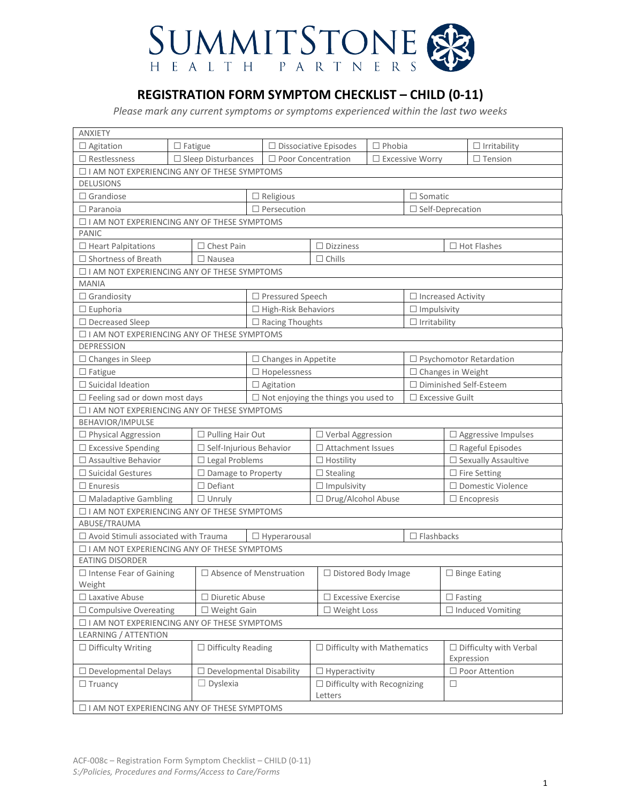

# **REGISTRATION FORM SYMPTOM CHECKLIST – CHILD (0-11)**

*Please mark any current symptoms or symptoms experienced within the last two weeks*

| <b>ANXIETY</b>                                     |  |                                                        |                                            |                                               |                              |                        |                                |                                             |                     |
|----------------------------------------------------|--|--------------------------------------------------------|--------------------------------------------|-----------------------------------------------|------------------------------|------------------------|--------------------------------|---------------------------------------------|---------------------|
| $\Box$ Agitation                                   |  | $\Box$ Fatigue                                         |                                            |                                               | $\Box$ Dissociative Episodes | $\Box$ Phobia          |                                |                                             | $\Box$ Irritability |
| $\square$ Restlessness                             |  | $\Box$ Sleep Disturbances<br>$\Box$ Poor Concentration |                                            |                                               | $\square$ Excessive Worry    |                        |                                | $\Box$ Tension                              |                     |
| □ I AM NOT EXPERIENCING ANY OF THESE SYMPTOMS      |  |                                                        |                                            |                                               |                              |                        |                                |                                             |                     |
| <b>DELUSIONS</b>                                   |  |                                                        |                                            |                                               |                              |                        |                                |                                             |                     |
| $\Box$ Grandiose                                   |  |                                                        |                                            | $\Box$ Religious                              |                              |                        | $\Box$ Somatic                 |                                             |                     |
| $\Box$ Paranoia                                    |  |                                                        |                                            | $\Box$ Persecution                            |                              |                        |                                | $\Box$ Self-Deprecation                     |                     |
| □ I AM NOT EXPERIENCING ANY OF THESE SYMPTOMS      |  |                                                        |                                            |                                               |                              |                        |                                |                                             |                     |
| PANIC                                              |  |                                                        |                                            |                                               |                              |                        |                                |                                             |                     |
| $\Box$ Heart Palpitations                          |  | $\Box$ Chest Pain                                      |                                            |                                               | $\Box$ Dizziness             | $\Box$ Hot Flashes     |                                |                                             |                     |
| $\Box$ Shortness of Breath                         |  | $\Box$ Nausea                                          |                                            |                                               | $\Box$ Chills                |                        |                                |                                             |                     |
| □ I AM NOT EXPERIENCING ANY OF THESE SYMPTOMS      |  |                                                        |                                            |                                               |                              |                        |                                |                                             |                     |
| <b>MANIA</b>                                       |  |                                                        |                                            |                                               |                              |                        |                                |                                             |                     |
| $\Box$ Grandiosity                                 |  |                                                        |                                            | □ Pressured Speech                            |                              |                        | $\Box$ Increased Activity      |                                             |                     |
| $\Box$ Euphoria                                    |  |                                                        |                                            | $\Box$ High-Risk Behaviors                    |                              |                        | $\Box$ Impulsivity             |                                             |                     |
| $\Box$ Decreased Sleep                             |  |                                                        |                                            | $\Box$ Racing Thoughts                        |                              |                        | $\Box$ Irritability            |                                             |                     |
| □ I AM NOT EXPERIENCING ANY OF THESE SYMPTOMS      |  |                                                        |                                            |                                               |                              |                        |                                |                                             |                     |
| <b>DEPRESSION</b>                                  |  |                                                        |                                            |                                               |                              |                        |                                |                                             |                     |
| $\Box$ Changes in Sleep                            |  |                                                        |                                            | $\Box$ Changes in Appetite                    |                              |                        | $\Box$ Psychomotor Retardation |                                             |                     |
| $\Box$ Fatigue                                     |  |                                                        |                                            | $\Box$ Hopelessness                           |                              |                        | $\Box$ Changes in Weight       |                                             |                     |
| $\Box$ Suicidal Ideation                           |  |                                                        |                                            | $\Box$ Agitation                              |                              |                        | □ Diminished Self-Esteem       |                                             |                     |
| $\Box$ Feeling sad or down most days               |  |                                                        | $\Box$ Not enjoying the things you used to |                                               |                              | $\Box$ Excessive Guilt |                                |                                             |                     |
| □ I AM NOT EXPERIENCING ANY OF THESE SYMPTOMS      |  |                                                        |                                            |                                               |                              |                        |                                |                                             |                     |
| BEHAVIOR/IMPULSE                                   |  |                                                        |                                            |                                               |                              |                        |                                |                                             |                     |
| $\Box$ Physical Aggression                         |  | $\Box$ Pulling Hair Out                                |                                            | □ Verbal Aggression                           |                              |                        |                                | $\Box$ Aggressive Impulses                  |                     |
| $\square$ Excessive Spending                       |  | $\Box$ Self-Injurious Behavior                         |                                            | $\Box$ Attachment Issues                      |                              |                        |                                | $\Box$ Rageful Episodes                     |                     |
| $\square$ Assaultive Behavior                      |  | $\Box$ Legal Problems                                  |                                            |                                               | $\Box$ Hostility             |                        |                                | $\square$ Sexually Assaultive               |                     |
| $\Box$ Suicidal Gestures                           |  | □ Damage to Property                                   |                                            |                                               | $\Box$ Stealing              |                        |                                | $\Box$ Fire Setting                         |                     |
| $\Box$ Enuresis                                    |  | $\Box$ Defiant                                         |                                            |                                               | $\Box$ Impulsivity           |                        |                                | □ Domestic Violence                         |                     |
| $\Box$ Maladaptive Gambling                        |  | $\Box$ Unruly                                          |                                            |                                               | □ Drug/Alcohol Abuse         |                        |                                | $\Box$ Encopresis                           |                     |
| □ I AM NOT EXPERIENCING ANY OF THESE SYMPTOMS      |  |                                                        |                                            |                                               |                              |                        |                                |                                             |                     |
| ABUSE/TRAUMA                                       |  |                                                        |                                            |                                               |                              |                        |                                |                                             |                     |
| $\Box$ Avoid Stimuli associated with Trauma        |  |                                                        |                                            | $\Box$ Hyperarousal                           |                              |                        | $\Box$ Flashbacks              |                                             |                     |
| □ I AM NOT EXPERIENCING ANY OF THESE SYMPTOMS      |  |                                                        |                                            |                                               |                              |                        |                                |                                             |                     |
| <b>EATING DISORDER</b>                             |  |                                                        |                                            |                                               |                              |                        |                                |                                             |                     |
| $\Box$ Intense Fear of Gaining                     |  | $\Box$ Absence of Menstruation                         |                                            |                                               | □ Distored Body Image        |                        |                                | $\Box$ Binge Eating                         |                     |
| Weight                                             |  |                                                        |                                            |                                               |                              |                        |                                |                                             |                     |
| $\Box$ Laxative Abuse                              |  | $\Box$ Diuretic Abuse                                  |                                            |                                               | $\Box$ Excessive Exercise    |                        | $\Box$ Fasting                 |                                             |                     |
| $\Box$ Compulsive Overeating                       |  | $\Box$ Weight Gain                                     |                                            | $\Box$ Weight Loss                            |                              |                        | $\Box$ Induced Vomiting        |                                             |                     |
| □ I AM NOT EXPERIENCING ANY OF THESE SYMPTOMS      |  |                                                        |                                            |                                               |                              |                        |                                |                                             |                     |
| LEARNING / ATTENTION                               |  |                                                        |                                            |                                               |                              |                        |                                |                                             |                     |
| $\Box$ Difficulty Writing                          |  | $\Box$ Difficulty Reading                              |                                            | $\Box$ Difficulty with Mathematics            |                              |                        |                                | $\Box$ Difficulty with Verbal<br>Expression |                     |
| $\Box$ Developmental Delays                        |  | $\Box$ Developmental Disability                        |                                            |                                               | $\Box$ Hyperactivity         |                        |                                |                                             | □ Poor Attention    |
| $\Box$ Truancy                                     |  | $\Box$ Dyslexia                                        |                                            | $\Box$ Difficulty with Recognizing<br>Letters |                              | □                      |                                |                                             |                     |
| $\Box$ I AM NOT EXPERIENCING ANY OF THESE SYMPTOMS |  |                                                        |                                            |                                               |                              |                        |                                |                                             |                     |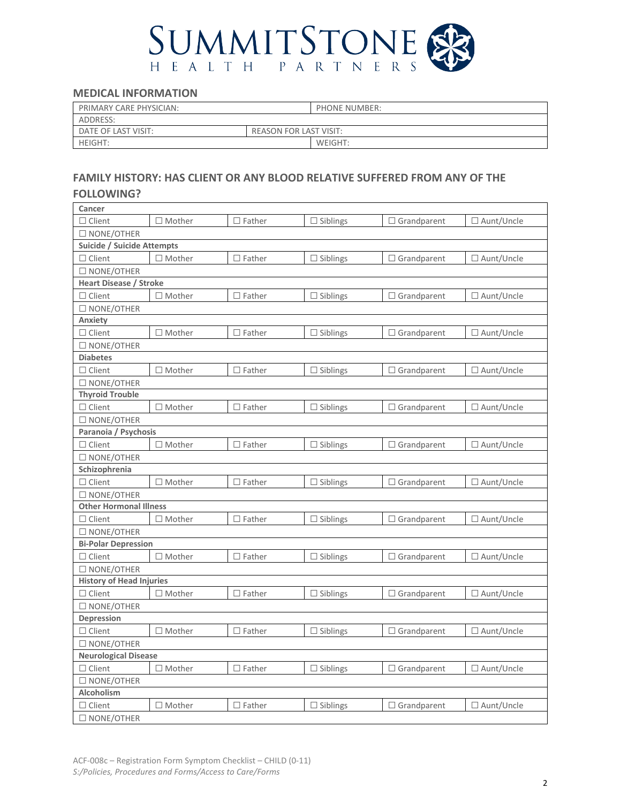

### **MEDICAL INFORMATION**

| PRIMARY CARE PHYSICIAN: | <b>PHONE NUMBER:</b>          |
|-------------------------|-------------------------------|
| ADDRESS:                |                               |
| DATE OF LAST VISIT:     | <b>REASON FOR LAST VISIT:</b> |
| <b>HEIGHT:</b>          | WEIGHT:                       |

# **FAMILY HISTORY: HAS CLIENT OR ANY BLOOD RELATIVE SUFFERED FROM ANY OF THE**

#### **FOLLOWING?**

| Cancer                          |                  |               |                 |                    |                   |
|---------------------------------|------------------|---------------|-----------------|--------------------|-------------------|
| $\Box$ Client                   | $\Box$ Mother    | $\Box$ Father | $\Box$ Siblings | $\Box$ Grandparent | □ Aunt/Uncle      |
| $\square$ NONE/OTHER            |                  |               |                 |                    |                   |
| Suicide / Suicide Attempts      |                  |               |                 |                    |                   |
| $\Box$ Client                   | $\Box$ Mother    | $\Box$ Father | $\Box$ Siblings | $\Box$ Grandparent | □ Aunt/Uncle      |
| $\square$ NONE/OTHER            |                  |               |                 |                    |                   |
| <b>Heart Disease / Stroke</b>   |                  |               |                 |                    |                   |
| $\Box$ Client                   | $\Box$ Mother    | $\Box$ Father | $\Box$ Siblings | $\Box$ Grandparent | □ Aunt/Uncle      |
| $\Box$ NONE/OTHER               |                  |               |                 |                    |                   |
| Anxiety                         |                  |               |                 |                    |                   |
| $\Box$ Client                   | $\Box$ Mother    | $\Box$ Father | $\Box$ Siblings | $\Box$ Grandparent | $\Box$ Aunt/Uncle |
| $\square$ NONE/OTHER            |                  |               |                 |                    |                   |
| <b>Diabetes</b>                 |                  |               |                 |                    |                   |
| $\Box$ Client                   | $\Box$ Mother    | $\Box$ Father | $\Box$ Siblings | $\Box$ Grandparent | □ Aunt/Uncle      |
| $\square$ NONE/OTHER            |                  |               |                 |                    |                   |
| <b>Thyroid Trouble</b>          |                  |               |                 |                    |                   |
| $\Box$ Client                   | $\Box$ Mother    | $\Box$ Father | $\Box$ Siblings | $\Box$ Grandparent | □ Aunt/Uncle      |
| $\square$ NONE/OTHER            |                  |               |                 |                    |                   |
| Paranoia / Psychosis            |                  |               |                 |                    |                   |
| $\Box$ Client                   | $\Box$ Mother    | $\Box$ Father | $\Box$ Siblings | $\Box$ Grandparent | □ Aunt/Uncle      |
| $\square$ NONE/OTHER            |                  |               |                 |                    |                   |
| Schizophrenia                   |                  |               |                 |                    |                   |
| $\Box$ Client                   | $\Box$ Mother    | $\Box$ Father | $\Box$ Siblings | $\Box$ Grandparent | □ Aunt/Uncle      |
| $\square$ NONE/OTHER            |                  |               |                 |                    |                   |
| <b>Other Hormonal Illness</b>   |                  |               |                 |                    |                   |
| $\Box$ Client                   | $\Box$ Mother    | $\Box$ Father | $\Box$ Siblings | $\Box$ Grandparent | □ Aunt/Uncle      |
| $\square$ NONE/OTHER            |                  |               |                 |                    |                   |
| <b>Bi-Polar Depression</b>      |                  |               |                 |                    |                   |
| $\Box$ Client                   | $\square$ Mother | $\Box$ Father | $\Box$ Siblings | $\Box$ Grandparent | □ Aunt/Uncle      |
| $\square$ NONE/OTHER            |                  |               |                 |                    |                   |
| <b>History of Head Injuries</b> |                  |               |                 |                    |                   |
| $\Box$ Client                   | $\Box$ Mother    | $\Box$ Father | $\Box$ Siblings | $\Box$ Grandparent | □ Aunt/Uncle      |
| $\square$ NONE/OTHER            |                  |               |                 |                    |                   |
| Depression                      |                  |               |                 |                    |                   |
| $\Box$ Client                   | $\Box$ Mother    | $\Box$ Father | $\Box$ Siblings | $\Box$ Grandparent | $\Box$ Aunt/Uncle |
| $\square$ NONE/OTHER            |                  |               |                 |                    |                   |
| <b>Neurological Disease</b>     |                  |               |                 |                    |                   |
| $\Box$ Client                   | $\Box$ Mother    | $\Box$ Father | $\Box$ Siblings | $\Box$ Grandparent | □ Aunt/Uncle      |
| $\Box$ NONE/OTHER               |                  |               |                 |                    |                   |
| Alcoholism                      |                  |               |                 |                    |                   |
| $\Box$ Client                   | $\Box$ Mother    | $\Box$ Father | $\Box$ Siblings | $\Box$ Grandparent | □ Aunt/Uncle      |
| $\Box$ NONE/OTHER               |                  |               |                 |                    |                   |